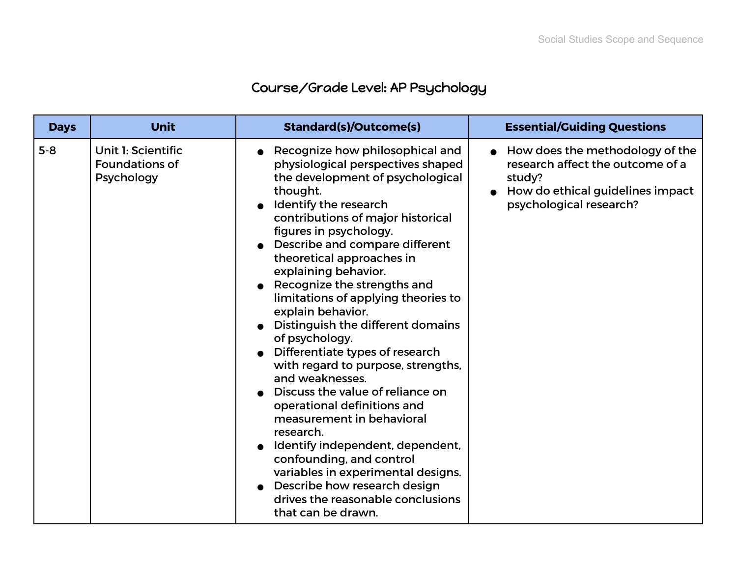## Course/Grade Level: AP Psychology

| <b>Days</b> | <b>Unit</b>                                               | <b>Standard(s)/Outcome(s)</b>                                                                                                                                                                                                                                                                                                                                                                                                                                                                                                                                                                                                                                                                                                                                                                                                                                   | <b>Essential/Guiding Questions</b>                                                                                                           |
|-------------|-----------------------------------------------------------|-----------------------------------------------------------------------------------------------------------------------------------------------------------------------------------------------------------------------------------------------------------------------------------------------------------------------------------------------------------------------------------------------------------------------------------------------------------------------------------------------------------------------------------------------------------------------------------------------------------------------------------------------------------------------------------------------------------------------------------------------------------------------------------------------------------------------------------------------------------------|----------------------------------------------------------------------------------------------------------------------------------------------|
| $5 - 8$     | Unit 1: Scientific<br><b>Foundations of</b><br>Psychology | Recognize how philosophical and<br>physiological perspectives shaped<br>the development of psychological<br>thought.<br>Identify the research<br>contributions of major historical<br>figures in psychology.<br>Describe and compare different<br>theoretical approaches in<br>explaining behavior.<br>Recognize the strengths and<br>limitations of applying theories to<br>explain behavior.<br>Distinguish the different domains<br>of psychology.<br>Differentiate types of research<br>with regard to purpose, strengths,<br>and weaknesses.<br>Discuss the value of reliance on<br>operational definitions and<br>measurement in behavioral<br>research.<br>Identify independent, dependent,<br>confounding, and control<br>variables in experimental designs.<br>Describe how research design<br>drives the reasonable conclusions<br>that can be drawn. | How does the methodology of the<br>research affect the outcome of a<br>study?<br>How do ethical guidelines impact<br>psychological research? |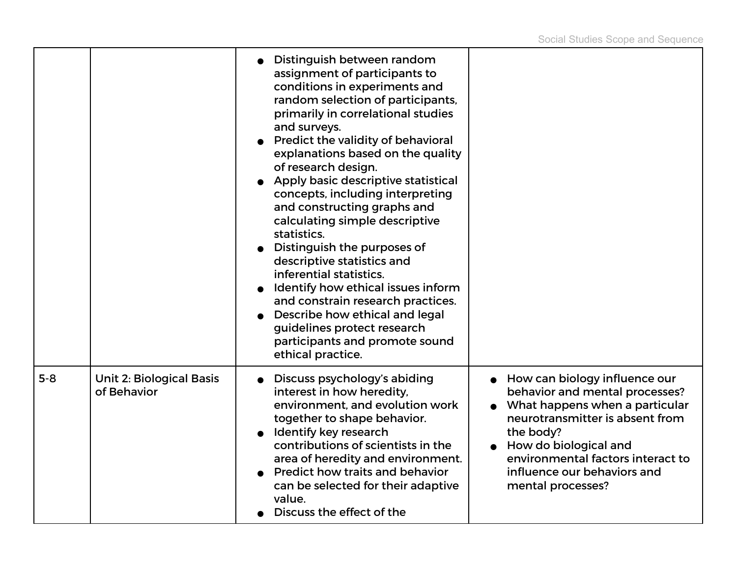|       |                                                | Distinguish between random<br>assignment of participants to<br>conditions in experiments and<br>random selection of participants,<br>primarily in correlational studies<br>and surveys.<br>Predict the validity of behavioral<br>explanations based on the quality<br>of research design.<br>Apply basic descriptive statistical<br>concepts, including interpreting<br>and constructing graphs and<br>calculating simple descriptive<br>statistics.<br>Distinguish the purposes of<br>descriptive statistics and<br>inferential statistics.<br>Identify how ethical issues inform<br>and constrain research practices.<br>Describe how ethical and legal<br>guidelines protect research<br>participants and promote sound<br>ethical practice. |                                                                                                                                                                                                                                                                       |
|-------|------------------------------------------------|-------------------------------------------------------------------------------------------------------------------------------------------------------------------------------------------------------------------------------------------------------------------------------------------------------------------------------------------------------------------------------------------------------------------------------------------------------------------------------------------------------------------------------------------------------------------------------------------------------------------------------------------------------------------------------------------------------------------------------------------------|-----------------------------------------------------------------------------------------------------------------------------------------------------------------------------------------------------------------------------------------------------------------------|
| $5-8$ | <b>Unit 2: Biological Basis</b><br>of Behavior | Discuss psychology's abiding<br>interest in how heredity,<br>environment, and evolution work<br>together to shape behavior.<br>Identify key research<br>contributions of scientists in the<br>area of heredity and environment.<br>Predict how traits and behavior<br>can be selected for their adaptive<br>value.<br>Discuss the effect of the                                                                                                                                                                                                                                                                                                                                                                                                 | • How can biology influence our<br>behavior and mental processes?<br>What happens when a particular<br>neurotransmitter is absent from<br>the body?<br>How do biological and<br>environmental factors interact to<br>influence our behaviors and<br>mental processes? |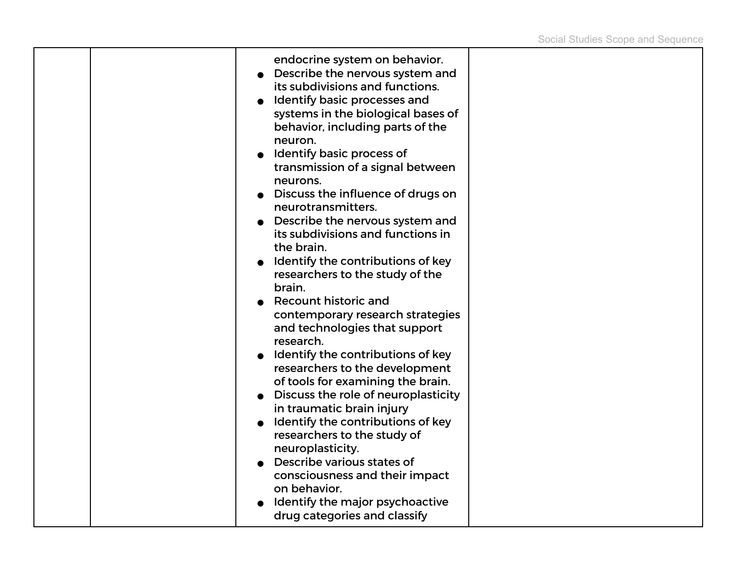|  | endocrine system on behavior.<br>Describe the nervous system and<br>its subdivisions and functions.<br>Identify basic processes and<br>systems in the biological bases of<br>behavior, including parts of the<br>neuron.<br>Identify basic process of<br>transmission of a signal between<br>neurons.<br>Discuss the influence of drugs on<br>neurotransmitters.<br>Describe the nervous system and<br>its subdivisions and functions in<br>the brain.<br>Identify the contributions of key<br>researchers to the study of the<br>brain.<br><b>Recount historic and</b><br>contemporary research strategies<br>and technologies that support<br>research.<br>Identify the contributions of key<br>researchers to the development<br>of tools for examining the brain.<br>Discuss the role of neuroplasticity<br>in traumatic brain injury<br>Identify the contributions of key<br>researchers to the study of<br>neuroplasticity.<br>Describe various states of |  |
|--|-----------------------------------------------------------------------------------------------------------------------------------------------------------------------------------------------------------------------------------------------------------------------------------------------------------------------------------------------------------------------------------------------------------------------------------------------------------------------------------------------------------------------------------------------------------------------------------------------------------------------------------------------------------------------------------------------------------------------------------------------------------------------------------------------------------------------------------------------------------------------------------------------------------------------------------------------------------------|--|
|  | consciousness and their impact<br>on behavior.<br>Identify the major psychoactive<br>drug categories and classify                                                                                                                                                                                                                                                                                                                                                                                                                                                                                                                                                                                                                                                                                                                                                                                                                                               |  |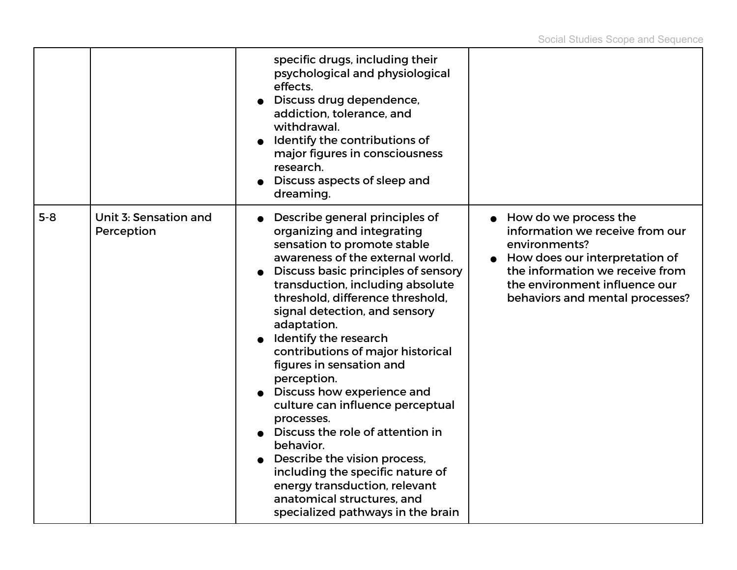|       |                                     | specific drugs, including their<br>psychological and physiological<br>effects.<br>Discuss drug dependence,<br>addiction, tolerance, and<br>withdrawal.<br>Identify the contributions of<br>major figures in consciousness<br>research.<br>Discuss aspects of sleep and<br>dreaming.                                                                                                                                                                                                                                                                                                                                                                                                                              |                                                                                                                                                                                                                    |
|-------|-------------------------------------|------------------------------------------------------------------------------------------------------------------------------------------------------------------------------------------------------------------------------------------------------------------------------------------------------------------------------------------------------------------------------------------------------------------------------------------------------------------------------------------------------------------------------------------------------------------------------------------------------------------------------------------------------------------------------------------------------------------|--------------------------------------------------------------------------------------------------------------------------------------------------------------------------------------------------------------------|
| $5-8$ | Unit 3: Sensation and<br>Perception | Describe general principles of<br>organizing and integrating<br>sensation to promote stable<br>awareness of the external world.<br>Discuss basic principles of sensory<br>transduction, including absolute<br>threshold, difference threshold,<br>signal detection, and sensory<br>adaptation.<br>Identify the research<br>contributions of major historical<br>figures in sensation and<br>perception.<br>Discuss how experience and<br>culture can influence perceptual<br>processes.<br>Discuss the role of attention in<br>behavior.<br>Describe the vision process,<br>including the specific nature of<br>energy transduction, relevant<br>anatomical structures, and<br>specialized pathways in the brain | How do we process the<br>information we receive from our<br>environments?<br>How does our interpretation of<br>the information we receive from<br>the environment influence our<br>behaviors and mental processes? |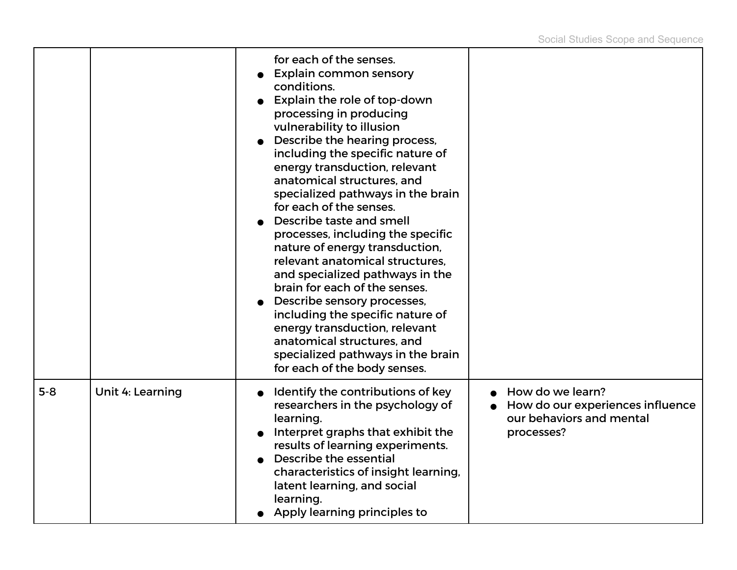|         |                  | for each of the senses.<br><b>Explain common sensory</b><br>conditions.<br>Explain the role of top-down<br>processing in producing<br>vulnerability to illusion<br>Describe the hearing process,<br>including the specific nature of<br>energy transduction, relevant<br>anatomical structures, and<br>specialized pathways in the brain<br>for each of the senses.<br>Describe taste and smell<br>processes, including the specific<br>nature of energy transduction,<br>relevant anatomical structures.<br>and specialized pathways in the<br>brain for each of the senses.<br>Describe sensory processes,<br>including the specific nature of<br>energy transduction, relevant<br>anatomical structures, and<br>specialized pathways in the brain<br>for each of the body senses. |                                                                                                |
|---------|------------------|--------------------------------------------------------------------------------------------------------------------------------------------------------------------------------------------------------------------------------------------------------------------------------------------------------------------------------------------------------------------------------------------------------------------------------------------------------------------------------------------------------------------------------------------------------------------------------------------------------------------------------------------------------------------------------------------------------------------------------------------------------------------------------------|------------------------------------------------------------------------------------------------|
| $5 - 8$ | Unit 4: Learning | Identify the contributions of key<br>researchers in the psychology of<br>learning.<br>Interpret graphs that exhibit the<br>results of learning experiments.<br>Describe the essential<br>characteristics of insight learning,<br>latent learning, and social<br>learning.<br>Apply learning principles to                                                                                                                                                                                                                                                                                                                                                                                                                                                                            | How do we learn?<br>How do our experiences influence<br>our behaviors and mental<br>processes? |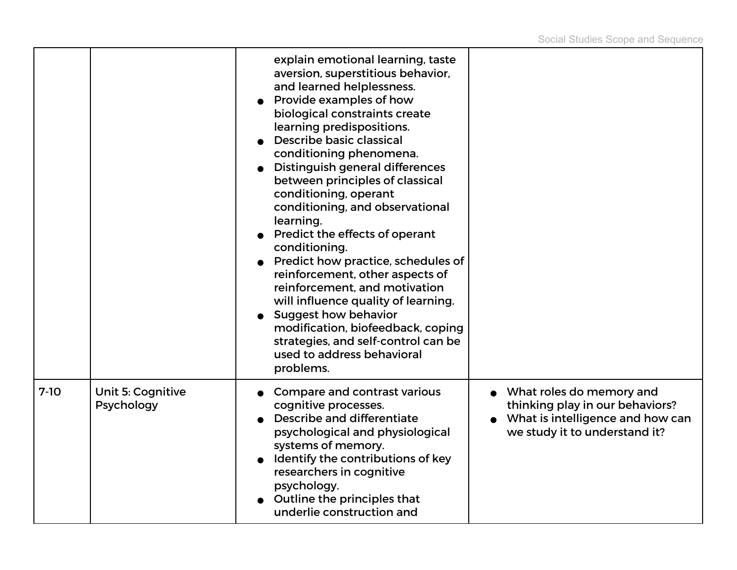|        |                                        | explain emotional learning, taste<br>aversion, superstitious behavior,<br>and learned helplessness.<br>Provide examples of how<br>biological constraints create<br>learning predispositions.<br>Describe basic classical<br>conditioning phenomena.<br><b>Distinguish general differences</b><br>between principles of classical<br>conditioning, operant<br>conditioning, and observational<br>learning.<br>Predict the effects of operant<br>conditioning.<br>Predict how practice, schedules of<br>reinforcement, other aspects of<br>reinforcement, and motivation<br>will influence quality of learning.<br><b>Suggest how behavior</b><br>modification, biofeedback, coping<br>strategies, and self-control can be<br>used to address behavioral<br>problems. |                                                                                                                                  |
|--------|----------------------------------------|---------------------------------------------------------------------------------------------------------------------------------------------------------------------------------------------------------------------------------------------------------------------------------------------------------------------------------------------------------------------------------------------------------------------------------------------------------------------------------------------------------------------------------------------------------------------------------------------------------------------------------------------------------------------------------------------------------------------------------------------------------------------|----------------------------------------------------------------------------------------------------------------------------------|
| $7-10$ | <b>Unit 5: Cognitive</b><br>Psychology | Compare and contrast various<br>cognitive processes.<br>Describe and differentiate<br>psychological and physiological<br>systems of memory.<br>Identify the contributions of key<br>researchers in cognitive<br>psychology.<br>Outline the principles that<br>underlie construction and                                                                                                                                                                                                                                                                                                                                                                                                                                                                             | What roles do memory and<br>thinking play in our behaviors?<br>What is intelligence and how can<br>we study it to understand it? |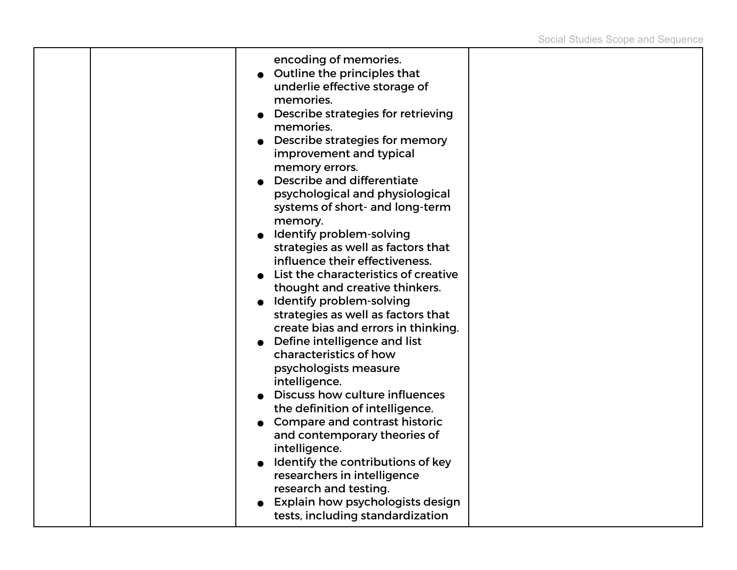|  | encoding of memories.<br>Outline the principles that<br>underlie effective storage of<br>memories.<br>Describe strategies for retrieving<br>memories.<br>Describe strategies for memory<br>improvement and typical<br>memory errors.<br><b>Describe and differentiate</b><br>psychological and physiological<br>systems of short- and long-term<br>memory.<br>Identify problem-solving<br>strategies as well as factors that<br>influence their effectiveness.<br>List the characteristics of creative<br>thought and creative thinkers.<br>• Identify problem-solving<br>strategies as well as factors that<br>create bias and errors in thinking.<br>Define intelligence and list<br>characteristics of how<br>psychologists measure<br>intelligence.<br>Discuss how culture influences<br>the definition of intelligence.<br><b>Compare and contrast historic</b><br>and contemporary theories of<br>intelligence.<br>Identify the contributions of key<br>researchers in intelligence<br>research and testing. |  |
|--|--------------------------------------------------------------------------------------------------------------------------------------------------------------------------------------------------------------------------------------------------------------------------------------------------------------------------------------------------------------------------------------------------------------------------------------------------------------------------------------------------------------------------------------------------------------------------------------------------------------------------------------------------------------------------------------------------------------------------------------------------------------------------------------------------------------------------------------------------------------------------------------------------------------------------------------------------------------------------------------------------------------------|--|
|  | Explain how psychologists design<br>tests, including standardization                                                                                                                                                                                                                                                                                                                                                                                                                                                                                                                                                                                                                                                                                                                                                                                                                                                                                                                                               |  |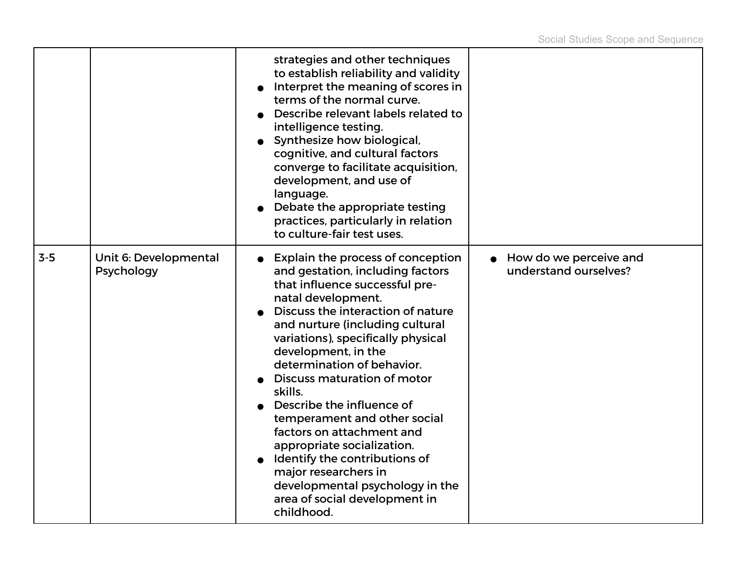|         |                                     | strategies and other techniques<br>to establish reliability and validity<br>Interpret the meaning of scores in<br>terms of the normal curve.<br>Describe relevant labels related to<br>intelligence testing.<br>Synthesize how biological,<br>cognitive, and cultural factors<br>converge to facilitate acquisition,<br>development, and use of<br>language.<br>Debate the appropriate testing<br>practices, particularly in relation<br>to culture-fair test uses.                                                                                                                                           |                                                 |
|---------|-------------------------------------|---------------------------------------------------------------------------------------------------------------------------------------------------------------------------------------------------------------------------------------------------------------------------------------------------------------------------------------------------------------------------------------------------------------------------------------------------------------------------------------------------------------------------------------------------------------------------------------------------------------|-------------------------------------------------|
| $3 - 5$ | Unit 6: Developmental<br>Psychology | Explain the process of conception<br>and gestation, including factors<br>that influence successful pre-<br>natal development.<br>Discuss the interaction of nature<br>and nurture (including cultural<br>variations), specifically physical<br>development, in the<br>determination of behavior.<br>Discuss maturation of motor<br>skills.<br>Describe the influence of<br>temperament and other social<br>factors on attachment and<br>appropriate socialization.<br>Identify the contributions of<br>major researchers in<br>developmental psychology in the<br>area of social development in<br>childhood. | How do we perceive and<br>understand ourselves? |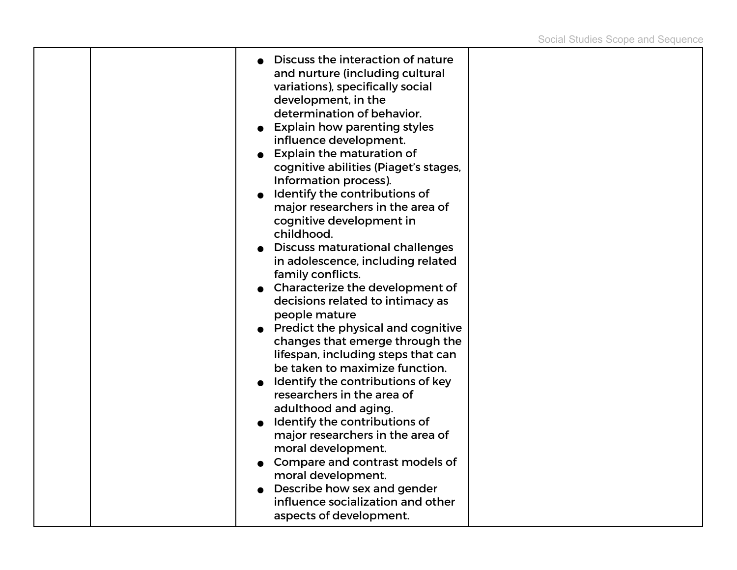|  | Discuss the interaction of nature<br>and nurture (including cultural<br>variations), specifically social<br>development, in the<br>determination of behavior.<br><b>Explain how parenting styles</b><br>influence development.<br><b>Explain the maturation of</b><br>cognitive abilities (Piaget's stages,<br>Information process).<br>Identify the contributions of<br>major researchers in the area of<br>cognitive development in<br>childhood.<br><b>Discuss maturational challenges</b><br>in adolescence, including related<br>family conflicts.<br>Characterize the development of<br>decisions related to intimacy as<br>people mature<br><b>Predict the physical and cognitive</b><br>changes that emerge through the<br>lifespan, including steps that can<br>be taken to maximize function.<br>Identify the contributions of key<br>researchers in the area of<br>adulthood and aging.<br>Identify the contributions of<br>major researchers in the area of<br>moral development.<br>Compare and contrast models of<br>moral development.<br>Describe how sex and gender |  |
|--|--------------------------------------------------------------------------------------------------------------------------------------------------------------------------------------------------------------------------------------------------------------------------------------------------------------------------------------------------------------------------------------------------------------------------------------------------------------------------------------------------------------------------------------------------------------------------------------------------------------------------------------------------------------------------------------------------------------------------------------------------------------------------------------------------------------------------------------------------------------------------------------------------------------------------------------------------------------------------------------------------------------------------------------------------------------------------------------|--|
|  | influence socialization and other<br>aspects of development.                                                                                                                                                                                                                                                                                                                                                                                                                                                                                                                                                                                                                                                                                                                                                                                                                                                                                                                                                                                                                         |  |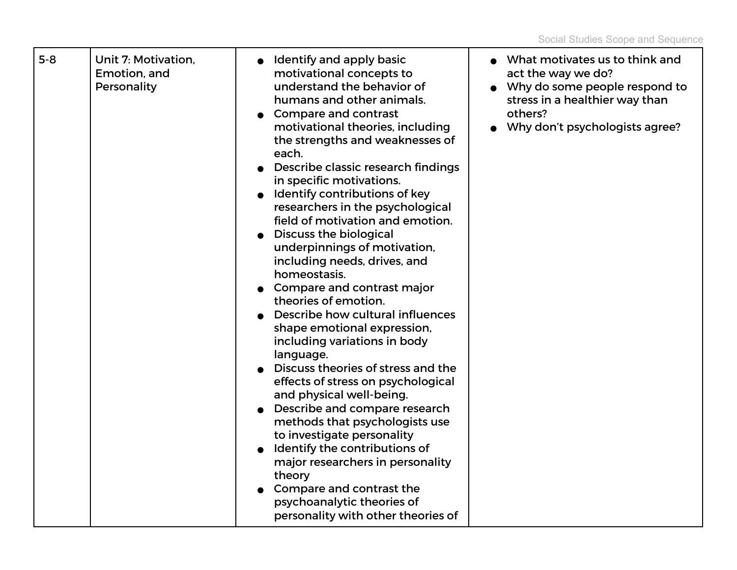| $5 - 8$ | Unit 7: Motivation,<br>Emotion, and<br>Personality | Identify and apply basic<br>$\bullet$<br>motivational concepts to<br>understand the behavior of<br>humans and other animals.<br><b>Compare and contrast</b><br>motivational theories, including<br>the strengths and weaknesses of<br>each.<br>Describe classic research findings<br>$\bullet$<br>in specific motivations.<br>Identify contributions of key<br>researchers in the psychological<br>field of motivation and emotion.<br><b>Discuss the biological</b><br>underpinnings of motivation,<br>including needs, drives, and<br>homeostasis.<br>Compare and contrast major<br>theories of emotion.<br>Describe how cultural influences<br>shape emotional expression,<br>including variations in body<br>language.<br>Discuss theories of stress and the<br>effects of stress on psychological<br>and physical well-being.<br>Describe and compare research<br>methods that psychologists use<br>to investigate personality<br>Identify the contributions of<br>major researchers in personality<br>theory<br>Compare and contrast the<br>psychoanalytic theories of<br>personality with other theories of | What motivates us to think and<br>act the way we do?<br>• Why do some people respond to<br>stress in a healthier way than<br>others?<br>Why don't psychologists agree? |
|---------|----------------------------------------------------|--------------------------------------------------------------------------------------------------------------------------------------------------------------------------------------------------------------------------------------------------------------------------------------------------------------------------------------------------------------------------------------------------------------------------------------------------------------------------------------------------------------------------------------------------------------------------------------------------------------------------------------------------------------------------------------------------------------------------------------------------------------------------------------------------------------------------------------------------------------------------------------------------------------------------------------------------------------------------------------------------------------------------------------------------------------------------------------------------------------------|------------------------------------------------------------------------------------------------------------------------------------------------------------------------|
|---------|----------------------------------------------------|--------------------------------------------------------------------------------------------------------------------------------------------------------------------------------------------------------------------------------------------------------------------------------------------------------------------------------------------------------------------------------------------------------------------------------------------------------------------------------------------------------------------------------------------------------------------------------------------------------------------------------------------------------------------------------------------------------------------------------------------------------------------------------------------------------------------------------------------------------------------------------------------------------------------------------------------------------------------------------------------------------------------------------------------------------------------------------------------------------------------|------------------------------------------------------------------------------------------------------------------------------------------------------------------------|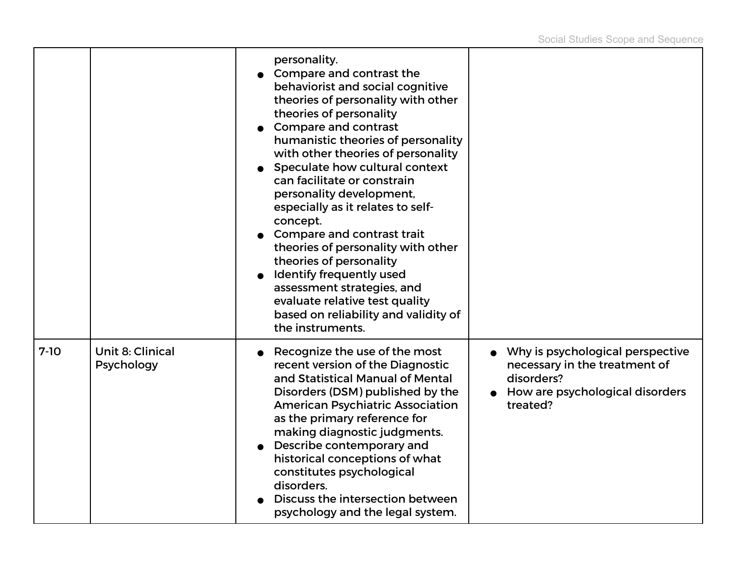|        |                                | personality.<br>Compare and contrast the<br>behaviorist and social cognitive<br>theories of personality with other<br>theories of personality<br>Compare and contrast<br>humanistic theories of personality<br>with other theories of personality<br>Speculate how cultural context<br>can facilitate or constrain<br>personality development,<br>especially as it relates to self-<br>concept.<br>Compare and contrast trait<br>theories of personality with other<br>theories of personality<br>Identify frequently used<br>assessment strategies, and<br>evaluate relative test quality<br>based on reliability and validity of<br>the instruments. |                                                                                                                                |
|--------|--------------------------------|--------------------------------------------------------------------------------------------------------------------------------------------------------------------------------------------------------------------------------------------------------------------------------------------------------------------------------------------------------------------------------------------------------------------------------------------------------------------------------------------------------------------------------------------------------------------------------------------------------------------------------------------------------|--------------------------------------------------------------------------------------------------------------------------------|
| $7-10$ | Unit 8: Clinical<br>Psychology | Recognize the use of the most<br>recent version of the Diagnostic<br>and Statistical Manual of Mental<br>Disorders (DSM) published by the<br><b>American Psychiatric Association</b><br>as the primary reference for<br>making diagnostic judgments.<br>Describe contemporary and<br>historical conceptions of what<br>constitutes psychological<br>disorders.<br>Discuss the intersection between<br>psychology and the legal system.                                                                                                                                                                                                                 | Why is psychological perspective<br>necessary in the treatment of<br>disorders?<br>How are psychological disorders<br>treated? |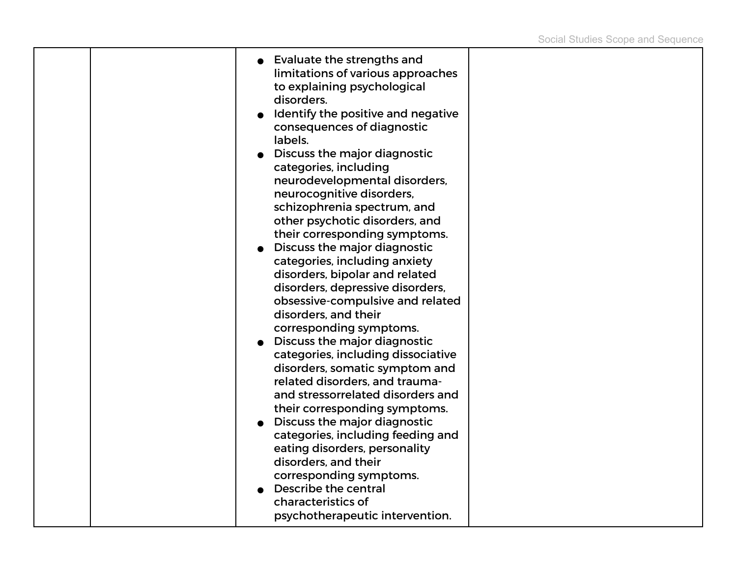|  | <b>Evaluate the strengths and</b><br>limitations of various approaches<br>to explaining psychological<br>disorders.<br>Identify the positive and negative<br>consequences of diagnostic<br>labels.<br>Discuss the major diagnostic<br>categories, including<br>neurodevelopmental disorders,<br>neurocognitive disorders,<br>schizophrenia spectrum, and<br>other psychotic disorders, and<br>their corresponding symptoms.<br>Discuss the major diagnostic<br>categories, including anxiety<br>disorders, bipolar and related<br>disorders, depressive disorders,<br>obsessive-compulsive and related<br>disorders, and their<br>corresponding symptoms.<br>Discuss the major diagnostic<br>categories, including dissociative<br>disorders, somatic symptom and<br>related disorders, and trauma-<br>and stressorrelated disorders and<br>their corresponding symptoms.<br>Discuss the major diagnostic<br>categories, including feeding and<br>eating disorders, personality<br>disorders, and their<br>corresponding symptoms.<br>Describe the central |  |
|--|------------------------------------------------------------------------------------------------------------------------------------------------------------------------------------------------------------------------------------------------------------------------------------------------------------------------------------------------------------------------------------------------------------------------------------------------------------------------------------------------------------------------------------------------------------------------------------------------------------------------------------------------------------------------------------------------------------------------------------------------------------------------------------------------------------------------------------------------------------------------------------------------------------------------------------------------------------------------------------------------------------------------------------------------------------|--|
|  | characteristics of<br>psychotherapeutic intervention.                                                                                                                                                                                                                                                                                                                                                                                                                                                                                                                                                                                                                                                                                                                                                                                                                                                                                                                                                                                                      |  |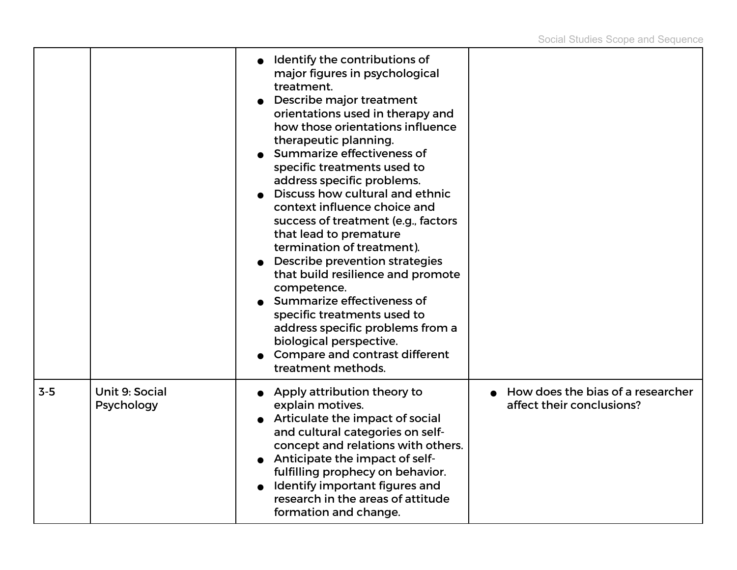|       |                              | Identify the contributions of<br>major figures in psychological<br>treatment.<br>Describe major treatment<br>orientations used in therapy and<br>how those orientations influence<br>therapeutic planning.<br>Summarize effectiveness of<br>specific treatments used to<br>address specific problems.<br>Discuss how cultural and ethnic<br>context influence choice and<br>success of treatment (e.g., factors<br>that lead to premature<br>termination of treatment).<br>Describe prevention strategies<br>that build resilience and promote<br>competence.<br>Summarize effectiveness of<br>specific treatments used to<br>address specific problems from a<br>biological perspective.<br>Compare and contrast different<br>treatment methods. |                                                                |
|-------|------------------------------|---------------------------------------------------------------------------------------------------------------------------------------------------------------------------------------------------------------------------------------------------------------------------------------------------------------------------------------------------------------------------------------------------------------------------------------------------------------------------------------------------------------------------------------------------------------------------------------------------------------------------------------------------------------------------------------------------------------------------------------------------|----------------------------------------------------------------|
| $3-5$ | Unit 9: Social<br>Psychology | Apply attribution theory to<br>explain motives.<br>Articulate the impact of social<br>and cultural categories on self-<br>concept and relations with others.<br>Anticipate the impact of self-<br>fulfilling prophecy on behavior.<br>Identify important figures and<br>research in the areas of attitude<br>formation and change.                                                                                                                                                                                                                                                                                                                                                                                                                | How does the bias of a researcher<br>affect their conclusions? |